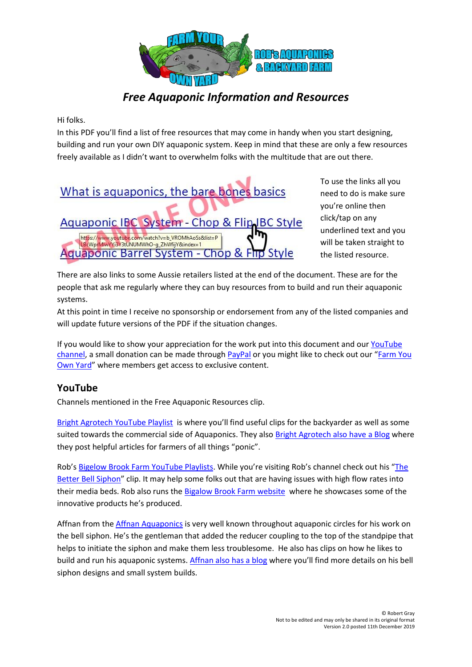

# *Free Aquaponic Information and Resources*

Hi folks.

In this PDF you'll find a list of free resources that may come in handy when you start designing, building and run your own DIY aquaponic system. Keep in mind that these are only a few resources freely available as I didn't want to overwhelm folks with the multitude that are out there.



To use the links all you need to do is make sure you're online then click/tap on any underlined text and you will be taken straight to the listed resource.

There are also links to some Aussie retailers listed at the end of the document. These are for the people that ask me regularly where they can buy resources from to build and run their aquaponic systems.

At this point in time I receive no sponsorship or endorsement from any of the listed companies and will update future versions of the PDF if the situation changes.

If you would like to show your appreciation for the work put into this document and our [YouTube](https://www.youtube.com/user/bnbob01)  [channel,](https://www.youtube.com/user/bnbob01) a small donation can be made through [PayPal](https://www.paypal.me/RobertGrayAU) or you might like to check out our "[Farm You](https://farmyourownyard.podia.com/)  [Own Yard](https://farmyourownyard.podia.com/)" where members get access to exclusive content.

# **YouTube**

Channels mentioned in the Free Aquaponic Resources clip.

[Bright Agrotech YouTube Playlist](https://www.youtube.com/user/BrightAgrotechLLC/playlists?sort=dd&view=1&shelf_id=0) is where you'll find useful clips for the backyarder as well as some suited towards the commercial side of Aquaponics. They also [Bright Agrotech also have a Blog](http://blog.brightagrotech.com/) where they post helpful articles for farmers of all things "ponic".

Rob's [Bigelow Brook Farm YouTube Playlists](https://www.youtube.com/user/web4deb/playlists). While you're visiting Rob's channel check out his "[The](https://www.youtube.com/watch?v=4hHRe3KJfoY)  [Better Bell Siphon](https://www.youtube.com/watch?v=4hHRe3KJfoY)" clip. It may help some folks out that are having issues with high flow rates into their media beds. Rob also runs th[e Bigalow Brook Farm website](http://www.bigelowbrook.com/) where he showcases some of the innovative products he's produced.

Affnan from the [Affnan Aquaponics](https://www.youtube.com/channel/UCuCqIye3jsB3lrgTQV12xJQ) is very well known throughout aquaponic circles for his work on the bell siphon. He's the gentleman that added the reducer coupling to the top of the standpipe that helps to initiate the siphon and make them less troublesome. He also has clips on how he likes to build and run his aquaponic systems[. Affnan also has a blog](http://www.affnanaquaponics.com/) where you'll find more details on his bell siphon designs and small system builds.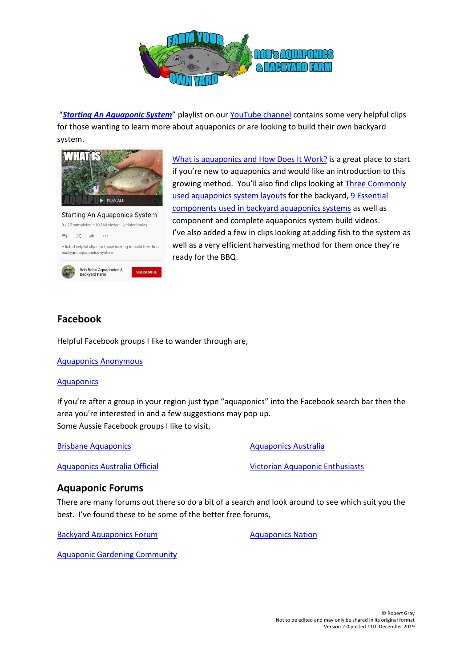

"*[Starting An Aquaponic System](https://www.youtube.com/playlist?list=PLBcWprMIwYYj8zCdbSzPJOR3HRXpxuBwf)*" playlist on our [YouTube channel](https://www.youtube.com/user/bnbob01) contains some very helpful clips for those wanting to learn more about aquaponics or are looking to build their own backyard system.



A list of helpful clips for those looking to build their first

Rob Bob's Aguaponics & **Backvard Farm** 

[What is aquaponics](https://www.youtube.com/watch?v=b3KMLZiWYns&list=PLBcWprMIwYYj8zCdbSzPJOR3HRXpxuBwf&index=2&t=1s) and How Does It Work? is a great place to start if you're new to aquaponics and would like an introduction to this growing method. You'll also find clips looking at Three [Commonly](https://www.youtube.com/watch?v=0QQA5BpWKec&list=PLBcWprMIwYYj8zCdbSzPJOR3HRXpxuBwf&index=4)  [used aquaponics system layouts](https://www.youtube.com/watch?v=0QQA5BpWKec&list=PLBcWprMIwYYj8zCdbSzPJOR3HRXpxuBwf&index=4) for the backyard, [9 Essential](https://www.youtube.com/watch?v=2FTlha0c2aA&list=PLBcWprMIwYYj8zCdbSzPJOR3HRXpxuBwf&index=5)  components [used in backyard aquaponics systems](https://www.youtube.com/watch?v=2FTlha0c2aA&list=PLBcWprMIwYYj8zCdbSzPJOR3HRXpxuBwf&index=5) as well as component and complete aquaponics system build videos. I've also added a few in clips looking at adding fish to the system as well as a very efficient harvesting method for them once they're ready for the BBQ.

### **Facebook**

backvard aquaponics system.

Helpful Facebook groups I like to wander through are,

[Aquaponics Anonymous](https://www.facebook.com/groups/245708769126433/) 

#### **[Aquaponics](https://www.facebook.com/groups/productive/)**

If you're after a group in your region just type "aquaponics" into the Facebook search bar then the area you're interested in and a few suggestions may pop up. Some Aussie Facebook groups I like to visit,

[Brisbane Aquaponics](https://www.facebook.com/groups/443315682400537/)

[Aquaponics Australia](https://www.facebook.com/aquaponics.australia.7?fref=ts&ref=br_tf)

[Aquaponics Australia Official](https://www.facebook.com/groups/aquaponicsaustralia/)

[Victorian Aquaponic Enthusiasts](https://www.facebook.com/groups/190563367681957/)

#### **Aquaponic Forums**

There are many forums out there so do a bit of a search and look around to see which suit you the best. I've found these to be some of the better free forums,

[Backyard Aquaponics Forum](http://backyardaquaponics.com/forum/)

[Aquaponics Nation](http://aquaponicsnation.com/forums/)

[Aquaponic Gardening Community](http://aquaponicgardening.ning.com/)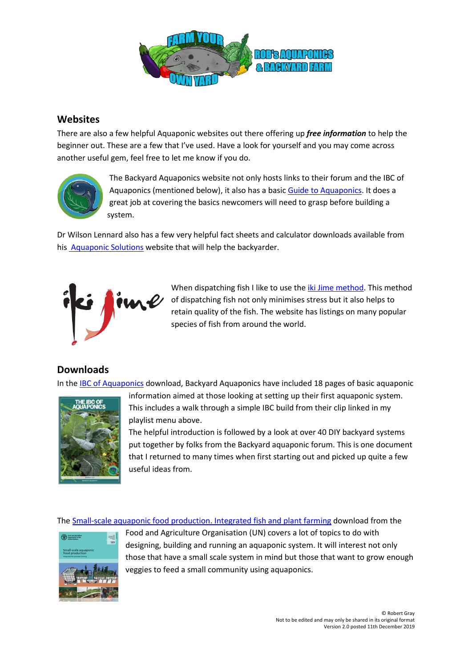

#### **Websites**

There are also a few helpful Aquaponic websites out there offering up *free information* to help the beginner out. These are a few that I've used. Have a look for yourself and you may come across another useful gem, feel free to let me know if you do.



The Backyard Aquaponics website not only hosts links to their forum and the IBC of Aquaponics (mentioned below), it also has a basic [Guide to Aquaponics.](http://www.backyardaquaponics.com/guide-to-aquaponics/what-is-aquaponics/) It does a great job at covering the basics newcomers will need to grasp before building a system.

Dr Wilson Lennard also has a few very helpful fact sheets and calculator downloads available from his [Aquaponic Solutions](http://www.aquaponic.com.au/) website that will help the backyarder.



When dispatching fish I like to use the *iki Jime method*. This method of dispatching fish not only minimises stress but it also helps to retain quality of the fish. The website has listings on many popular species of fish from around the world.

#### **Downloads**

In the [IBC of Aquaponics](http://ibcofaquaponics.com/) download, Backyard Aquaponics have included 18 pages of basic aquaponic



information aimed at those looking at setting up their first aquaponic system. This includes a walk through a simple IBC build from their clip linked in my playlist menu above.

The helpful introduction is followed by a look at over 40 DIY backyard systems put together by folks from the Backyard aquaponic forum. This is one document that I returned to many times when first starting out and picked up quite a few useful ideas from.

The [Small-scale aquaponic food production.](http://www.fao.org/3/a-i4021e/index.html) Integrated fish and plant farming download from the



Food and Agriculture Organisation (UN) covers a lot of topics to do with designing, building and running an aquaponic system. It will interest not only those that have a small scale system in mind but those that want to grow enough veggies to feed a small community using aquaponics.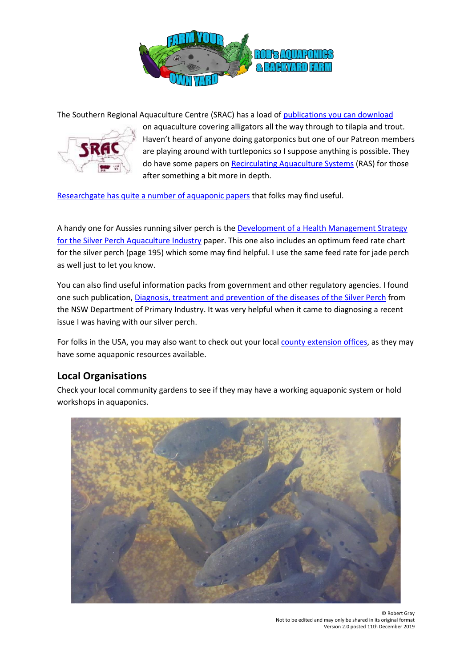

The Southern Regional Aquaculture Centre (SRAC) has a load of [publications you can download](https://srac.tamu.edu/)



on aquaculture covering alligators all the way through to tilapia and trout. Haven't heard of anyone doing gatorponics but one of our Patreon members are playing around with turtleponics so I suppose anything is possible. They do have some papers on [Recirculating Aquaculture Systems](https://srac.tamu.edu/viewCategory/24) (RAS) for those after something a bit more in depth.

[Researchgate has quite a number of aquaponic papers](https://www.researchgate.net/search?q=aquaponics) that folks may find useful.

A handy one for Aussies running silver perch is th[e Development of a Health Management Strategy](https://www.researchgate.net/publication/267766666_Development_of_a_Health_Management_Strategy_for_the_Silver_Perch_Aquaculture_Industry)  [for the Silver Perch Aquaculture Industry](https://www.researchgate.net/publication/267766666_Development_of_a_Health_Management_Strategy_for_the_Silver_Perch_Aquaculture_Industry) paper. This one also includes an optimum feed rate chart for the silver perch (page 195) which some may find helpful. I use the same feed rate for jade perch as well just to let you know.

You can also find useful information packs from government and other regulatory agencies. I found one such publication, Diagnosis, treatment and [prevention of the diseases of the Silver Perch](http://www.dpi.nsw.gov.au/fishing/aquaculture/publications/species-freshwater/collecting-finshish-broodstock/info-sheet/info-sheet-silver-perch) from the NSW Department of Primary Industry. It was very helpful when it came to diagnosing a recent issue I was having with our silver perch.

For folks in the USA, you may also want to check out your local [county extension offices,](http://www.pickyourown.org/countyextensionagentoffices.htm) as they may have some aquaponic resources available.

#### **Local Organisations**

Check your local community gardens to see if they may have a working aquaponic system or hold workshops in aquaponics.

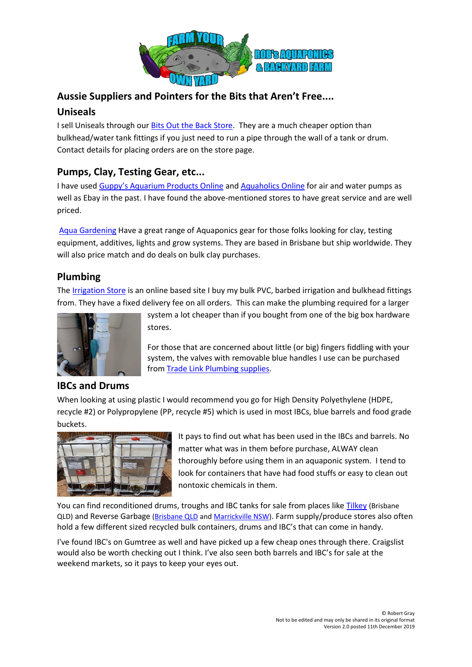

# **Aussie Suppliers and Pointers for the Bits that Aren't Free....**

### **Uniseals**

I sell Uniseals through our **Bits Out the Back Store**. They are a much cheaper option than bulkhead/water tank fittings if you just need to run a pipe through the wall of a tank or drum. Contact details for placing orders are on the store page.

# **Pumps, Clay, Testing Gear, etc...**

I have used [Guppy's Aquarium Products Online](http://www.guppysaquariumproducts.com.au/) and [Aquaholics Online](http://www.aquaholicsonline.com.au/) for air and water pumps as well as Ebay in the past. I have found the above-mentioned stores to have great service and are well priced.

[Aqua Gardening](https://www.aquagardening.com.au/) Have a great range of Aquaponics gear for those folks looking for clay, testing equipment, additives, lights and grow systems. They are based in Brisbane but ship worldwide. They will also price match and do deals on bulk clay purchases.

# **Plumbing**

The [Irrigation Store](http://www.irrigationstore.com.au/PVC-Pipe-Fittings) is an online based site I buy my bulk PVC, barbed irrigation and bulkhead fittings from. They have a fixed delivery fee on all orders. This can make the plumbing required for a larger



# **IBCs and Drums**

system a lot cheaper than if you bought from one of the big box hardware stores.

For those that are concerned about little (or big) fingers fiddling with your system, the valves with removable blue handles I use can be purchased from [Trade Link Plumbing supplies.](http://tradelink.com.au/retail)

When looking at using plastic I would recommend you go for High Density Polyethylene (HDPE, recycle #2) or Polypropylene (PP, recycle #5) which is used in most IBCs, blue barrels and food grade buckets.



It pays to find out what has been used in the IBCs and barrels. No matter what was in them before purchase, ALWAY clean thoroughly before using them in an aquaponic system. I tend to look for containers that have had food stuffs or easy to clean out nontoxic chemicals in them.

You can find reconditioned drums, troughs and IBC tanks for sale from places lik[e Tilkey](http://www.tilkey.com.au/) (Brisbane QLD) and Reverse Garbage [\(Brisbane QLD](http://www.reversegarbageqld.com.au/) and [Marrickville NSW\)](https://reversegarbage.org.au/). Farm supply/produce stores also often hold a few different sized recycled bulk containers, drums and IBC's that can come in handy.

I've found IBC's on Gumtree as well and have picked up a few cheap ones through there. Craigslist would also be worth checking out I think. I've also seen both barrels and IBC's for sale at the weekend markets, so it pays to keep your eyes out.